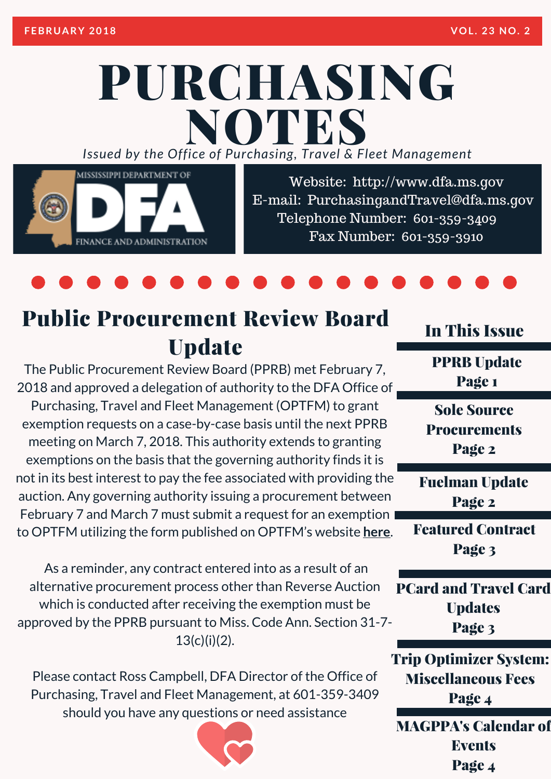# PURCHASING *Issued by the Off ice of Purcha sing, T ravel & Fleet Management* NOTES



Website: http://www.dfa.ms.gov E-mail: [PurchasingandTravel@dfa.ms.gov](http://www.dfa.ms.gov/) Telephone Number: 601-359-3409 Fax Number: 601-359-3910

## Public Procurement Review Board **Update**

The Public Procurement Review Board (PPRB) met February 7, 2018 and approved a delegation of authority to the DFA Office of Purchasing, Travel and Fleet Management (OPTFM) to grant exemption requests on a case-by-case basis until the next PPRB meeting on March 7, 2018. This authority extends to granting exemptions on the basis that the governing authority finds it is not in its best interest to pay the fee associated with providing the auction. Any governing authority issuing a procurement between February 7 and March 7 must submit a request for an exemption to OPTFM utilizing the form published on OPTFM's website **here**.

As a reminder, any contract entered into as a result of an alternative procurement process other than Reverse Auction which is conducted after receiving the exemption must be approved by the PPRB pursuant to Miss. Code Ann. Section 31-7-  $13(c)(i)(2)$ .

Please contact Ross Campbell, DFA Director of the Office of Purchasing, Travel and Fleet Management, at [601-359-3409](http://www.dfa.ms.gov/media/6227/reverse-auction-exemption-form_interactive_20171212.pdf) should you have any questions or need assistance



In This Issue

PPRB Update Page 1

Sole Source **Procurements** Page 2

Fuelman Update Page 2

Featured Contract Page 3

PCard and Travel Card **Updates** Page 3

Trip Optimizer System: Miscellaneous Fees Page 4

MAGPPA's Calendar of **Events** Page 4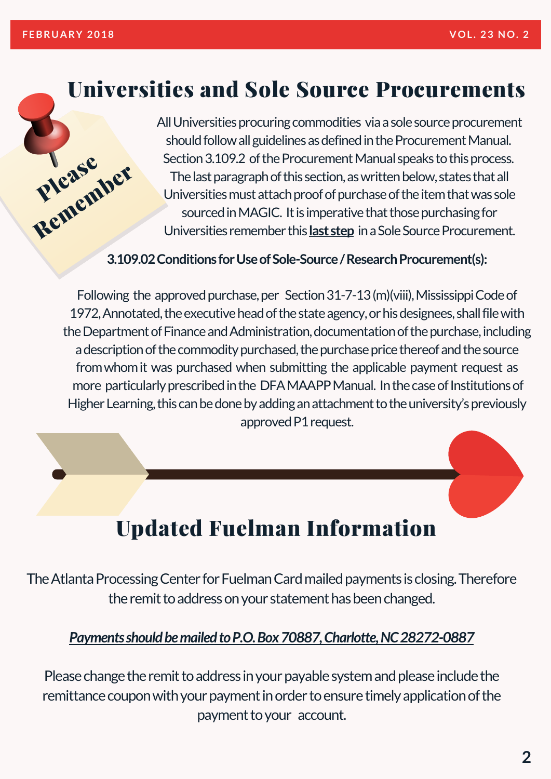Please

**Pleasember** 

### Universities and Sole Source Procurements

All Universities procuring commodities via a sole source procurement should follow all guidelines as defined in the Procurement Manual. Section 3.109.2 of the Procurement Manual speaks to this process. The last paragraph of this section, as written below, states that all Universities must attach proof of purchase of the item that was sole sourced in MAGIC. It is imperative that those purchasing for Universities remember this **last step** in a Sole Source Procurement.

#### **3.109.02Conditions forUseofSole-Source/ResearchProcurement(s):**

Following the approved purchase, per Section  $31-7-13$  (m)(viii), Mississippi Code of 1972, Annotated, the executive head of the state agency, or his designees, shall file with the Department of Finance and Administration, documentation of the purchase, including a description of the commodity purchased, the purchase price thereof and the source fromwhomit was purchased when submitting the applicable payment request as more particularly prescribed in the DFAMAAPP Manual. In the case of Institutions of Higher Learning, this can be done by adding an attachment to the university's previously approved P1 request.

## Updated Fuelman Information

The Atlanta Processing Center for Fuelman Card mailed payments is closing. Therefore the remit to address on your statement has been changed.

#### *PaymentsshouldbemailedtoP.O.Box70887,Charlotte,NC28272-0887*

Please change the remit to address in your payable system and please include the remittance coupon with your payment in order to ensure timely application of the payment to your account.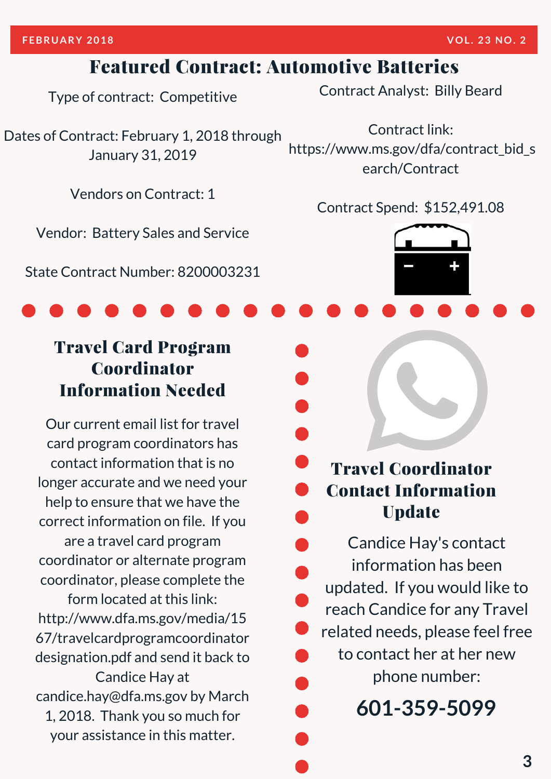#### Featured Contract: Automotive Batteries

Type of contract: Competitive

Dates of Contract: February 1, 2018 through January 31, 2019

Vendors on Contract: 1

Vendor: Battery Sales and Service

State Contract Number: [8200003231](https://www.ms.gov/dfa/contract_bid_search/Contract)

#### Travel Card Program Coordinator Information Needed

Our current email list for travel card program coordinators has contact information that is no longer accurate and we need your help to ensure that we have the correct information on file. If you are a travel card program coordinator or alternate program coordinator, please complete the form located at this link: http://www.dfa.ms.gov/media/15 [67/travelcardprogramcoordinator](http://www.dfa.ms.gov/media/1567/travelcardprogramcoordinatordesignation.pdf) designation.pdf and send it back to Candice Hay at candice.hay@dfa.ms.gov by March 1, 2018. Thank you so much for your assistance in this matter.

Contract Analyst: Billy Beard

Contract link: [https://www.ms.gov/dfa/contract\\_bid\\_s](https://www.ms.gov/dfa/contract_bid_search/Contract) earch/Contract

Contract Spend: \$152,491.08



Candice Hay's contact information has been updated. If you would like to reach Candice for any Travel related needs, please feel free to contact her at her new phone number:

**601-359-5099**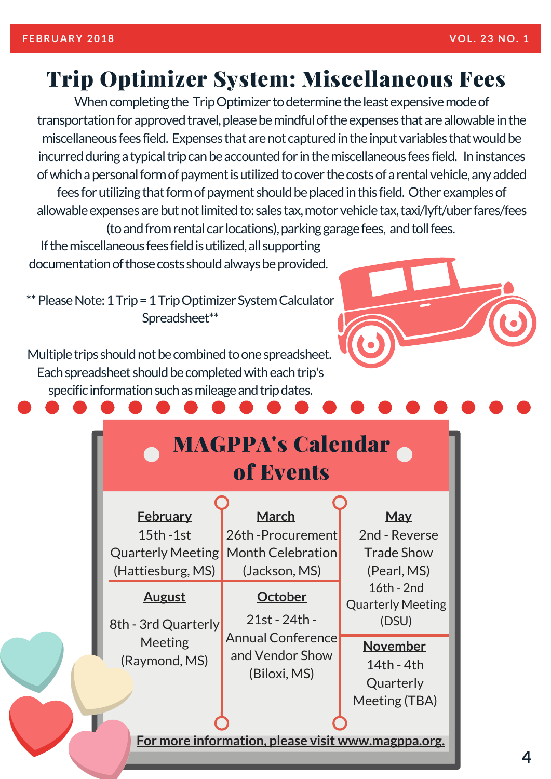### Trip Optimizer System: Miscellaneous Fees

When completing the TripOptimizer to determine the least expensive mode of transportation for approved travel, please be mindful of the expenses that are allowable in the miscellaneous fees field. Expenses that are not captured in the input variables that would be incurred during a typical trip can be accounted for in the miscellaneous fees field. In instances of which a personal form of payment is utilized to cover the costs of a rental vehicle, any added fees for utilizing that form of payment should be placed in this field. Other examples of allowable expenses are but not limited to: sales tax, motor vehicle tax, taxi/lyft/uber fares/fees (to and from rental car locations), parking garage fees, and toll fees.

If the miscellaneous fees field is utilized, all supporting documentation of those costs should always be provided.

\*\* Please Note: 1 Trip = 1 Trip Optimizer System Calculator Spreadsheet\*\*



Multiple trips should not be combined to one spreadsheet. Each spreadsheet should be completed with each trip's specific information such as mileage and trip dates.